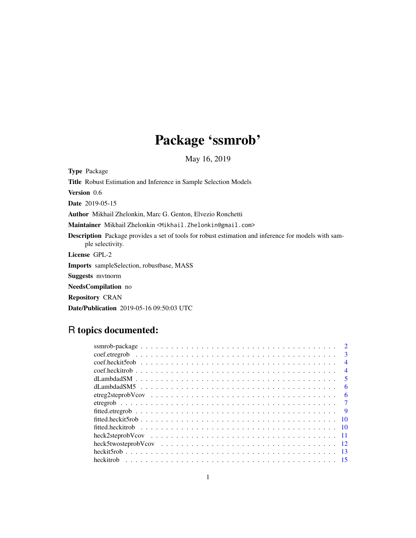# Package 'ssmrob'

May 16, 2019

<span id="page-0-0"></span>Type Package Title Robust Estimation and Inference in Sample Selection Models Version 0.6 Date 2019-05-15 Author Mikhail Zhelonkin, Marc G. Genton, Elvezio Ronchetti Maintainer Mikhail Zhelonkin <Mikhail.Zhelonkin@gmail.com> Description Package provides a set of tools for robust estimation and inference for models with sample selectivity. License GPL-2 Imports sampleSelection, robustbase, MASS Suggests mvtnorm NeedsCompilation no Repository CRAN Date/Publication 2019-05-16 09:50:03 UTC

## R topics documented:

|  |  |  |  |  |  |  |  |  |  |  |  |  |  |  |  | $\mathcal{D}$            |
|--|--|--|--|--|--|--|--|--|--|--|--|--|--|--|--|--------------------------|
|  |  |  |  |  |  |  |  |  |  |  |  |  |  |  |  | $\mathbf{3}$             |
|  |  |  |  |  |  |  |  |  |  |  |  |  |  |  |  | $\overline{4}$           |
|  |  |  |  |  |  |  |  |  |  |  |  |  |  |  |  | $\overline{\mathcal{A}}$ |
|  |  |  |  |  |  |  |  |  |  |  |  |  |  |  |  | -5                       |
|  |  |  |  |  |  |  |  |  |  |  |  |  |  |  |  | 6                        |
|  |  |  |  |  |  |  |  |  |  |  |  |  |  |  |  | 6                        |
|  |  |  |  |  |  |  |  |  |  |  |  |  |  |  |  |                          |
|  |  |  |  |  |  |  |  |  |  |  |  |  |  |  |  | - 9                      |
|  |  |  |  |  |  |  |  |  |  |  |  |  |  |  |  | -10                      |
|  |  |  |  |  |  |  |  |  |  |  |  |  |  |  |  |                          |
|  |  |  |  |  |  |  |  |  |  |  |  |  |  |  |  |                          |
|  |  |  |  |  |  |  |  |  |  |  |  |  |  |  |  |                          |
|  |  |  |  |  |  |  |  |  |  |  |  |  |  |  |  |                          |
|  |  |  |  |  |  |  |  |  |  |  |  |  |  |  |  |                          |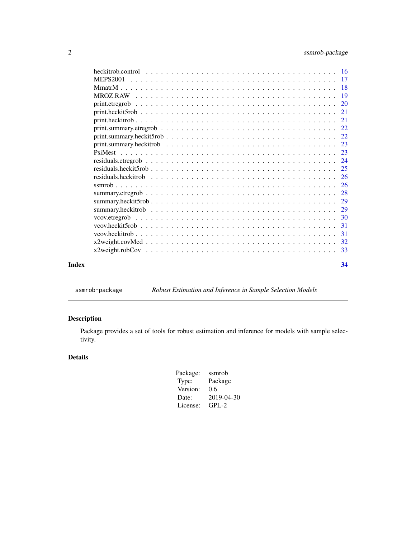<span id="page-1-0"></span>

| Index | 34 |
|-------|----|

ssmrob-package *Robust Estimation and Inference in Sample Selection Models*

## Description

Package provides a set of tools for robust estimation and inference for models with sample selectivity.

## Details

| Package: | ssmrob     |
|----------|------------|
| Type:    | Package    |
| Version: | 0.6        |
| Date:    | 2019-04-30 |
| License: | $GPL-2$    |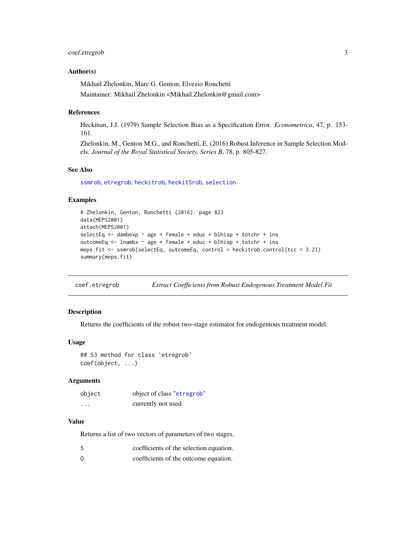#### <span id="page-2-0"></span>coef.etregrob 3

#### Author(s)

Mikhail Zhelonkin, Marc G. Genton, Elvezio Ronchetti Maintainer: Mikhail Zhelonkin <Mikhail.Zhelonkin@gmail.com>

#### References

Heckman, J.J. (1979) Sample Selection Bias as a Specification Error. *Econometrica*, 47, p. 153- 161.

Zhelonkin, M., Genton M.G., and Ronchetti, E. (2016) Robust Inference in Sample Selection Models. *Journal of the Royal Statistical Society, Series B*, 78, p. 805-827.

#### See Also

[ssmrob](#page-25-1), [etregrob](#page-6-1), [heckitrob](#page-14-1), [heckit5rob](#page-12-1), [selection](#page-0-0)

#### Examples

```
# Zhelonkin, Genton, Ronchetti (2016): page 823
data(MEPS2001)
attach(MEPS2001)
selectEq \leq dambexp \sim age + female + educ + blhisp + totchr + ins
outcomeEq <- lnambx ~ age + female + educ + blhisp + totchr + ins
meps.fit <- ssmrob(selectEq, outcomeEq, control = heckitrob.control(tcc = 3.2))
summary(meps.fit)
```
coef.etregrob *Extract Coefficients from Robust Endogenous Treatment Model Fit*

#### **Description**

Returns the coefficients of the robust two-stage estimator for endogentous treatment model.

#### Usage

```
## S3 method for class 'etregrob'
coef(object, ...)
```
#### Arguments

| object   | object of class "etregrob" |
|----------|----------------------------|
| $\cdots$ | currently not used         |

#### Value

Returns a list of two vectors of parameters of two stages.

| coefficients of the selection equation.<br>S |  |
|----------------------------------------------|--|
|----------------------------------------------|--|

O coefficients of the outcome equation.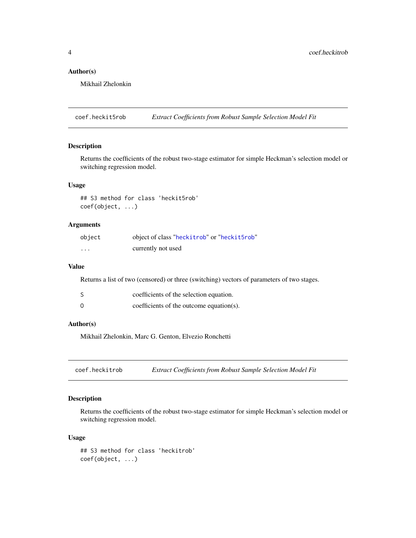## Author(s)

Mikhail Zhelonkin

coef.heckit5rob *Extract Coefficients from Robust Sample Selection Model Fit*

## Description

Returns the coefficients of the robust two-stage estimator for simple Heckman's selection model or switching regression model.

#### Usage

## S3 method for class 'heckit5rob' coef(object, ...)

## Arguments

| object   | object of class "heckitrob" or "heckit5rob" |
|----------|---------------------------------------------|
| $\cdots$ | currently not used                          |

#### Value

Returns a list of two (censored) or three (switching) vectors of parameters of two stages.

|          | coefficients of the selection equation.  |
|----------|------------------------------------------|
| $\Omega$ | coefficients of the outcome equation(s). |

#### Author(s)

Mikhail Zhelonkin, Marc G. Genton, Elvezio Ronchetti

coef.heckitrob *Extract Coefficients from Robust Sample Selection Model Fit*

## Description

Returns the coefficients of the robust two-stage estimator for simple Heckman's selection model or switching regression model.

## Usage

```
## S3 method for class 'heckitrob'
coef(object, ...)
```
<span id="page-3-0"></span>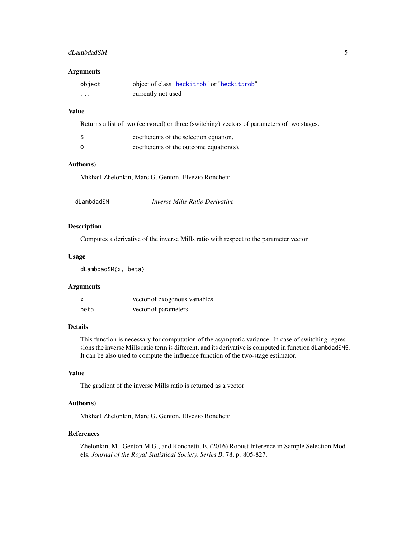## <span id="page-4-0"></span>dLambdadSM 5

#### Arguments

| object   | object of class "heckitrob" or "heckit5rob" |
|----------|---------------------------------------------|
| $\cdots$ | currently not used                          |

## Value

Returns a list of two (censored) or three (switching) vectors of parameters of two stages.

|          | coefficients of the selection equation.  |
|----------|------------------------------------------|
| $\Omega$ | coefficients of the outcome equation(s). |

## Author(s)

Mikhail Zhelonkin, Marc G. Genton, Elvezio Ronchetti

| <i>Inverse Mills Ratio Derivative</i><br>dLambdadSM |  |  |  |
|-----------------------------------------------------|--|--|--|
|-----------------------------------------------------|--|--|--|

#### Description

Computes a derivative of the inverse Mills ratio with respect to the parameter vector.

#### Usage

dLambdadSM(x, beta)

#### Arguments

| X    | vector of exogenous variables |
|------|-------------------------------|
| beta | vector of parameters          |

## Details

This function is necessary for computation of the asymptotic variance. In case of switching regressions the inverse Mills ratio term is different, and its derivative is computed in function dLambdadSM5. It can be also used to compute the influence function of the two-stage estimator.

## Value

The gradient of the inverse Mills ratio is returned as a vector

#### Author(s)

Mikhail Zhelonkin, Marc G. Genton, Elvezio Ronchetti

## References

Zhelonkin, M., Genton M.G., and Ronchetti, E. (2016) Robust Inference in Sample Selection Models. *Journal of the Royal Statistical Society, Series B*, 78, p. 805-827.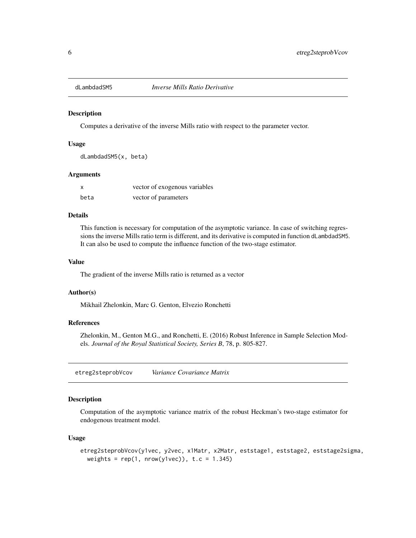<span id="page-5-0"></span>

#### Description

Computes a derivative of the inverse Mills ratio with respect to the parameter vector.

## Usage

dLambdadSM5(x, beta)

#### Arguments

| X    | vector of exogenous variables |
|------|-------------------------------|
| beta | vector of parameters          |

#### Details

This function is necessary for computation of the asymptotic variance. In case of switching regressions the inverse Mills ratio term is different, and its derivative is computed in function dLambdadSM5. It can also be used to compute the influence function of the two-stage estimator.

#### Value

The gradient of the inverse Mills ratio is returned as a vector

#### Author(s)

Mikhail Zhelonkin, Marc G. Genton, Elvezio Ronchetti

#### References

Zhelonkin, M., Genton M.G., and Ronchetti, E. (2016) Robust Inference in Sample Selection Models. *Journal of the Royal Statistical Society, Series B*, 78, p. 805-827.

<span id="page-5-1"></span>etreg2steprobVcov *Variance Covariance Matrix*

## Description

Computation of the asymptotic variance matrix of the robust Heckman's two-stage estimator for endogenous treatment model.

#### Usage

```
etreg2steprobVcov(y1vec, y2vec, x1Matr, x2Matr, eststage1, eststage2, eststage2sigma,
 weights = rep(1, nrow(y1vec)), t.c = 1.345)
```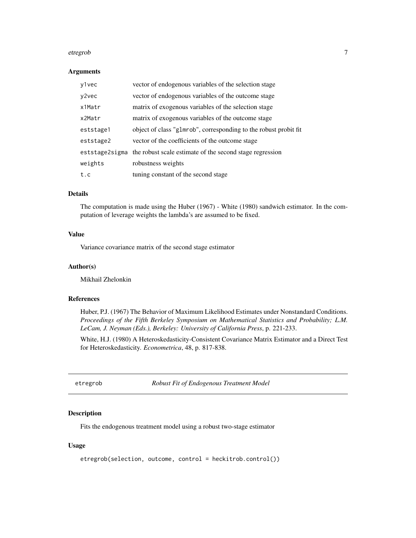#### <span id="page-6-0"></span>etregrob 7 and 2008 and 2009 and 2009 and 2009 and 2009 and 2009 and 2009 and 2009 and 2009 and 2009 and 2009  $\sigma$

#### Arguments

| y1vec     | vector of endogenous variables of the selection stage                   |
|-----------|-------------------------------------------------------------------------|
| y2vec     | vector of endogenous variables of the outcome stage                     |
| x1Matr    | matrix of exogenous variables of the selection stage                    |
| x2Matr    | matrix of exogenous variables of the outcome stage                      |
| eststage1 | object of class "glmrob", corresponding to the robust probit fit        |
| eststage2 | vector of the coefficients of the outcome stage                         |
|           | eststage2sigma the robust scale estimate of the second stage regression |
| weights   | robustness weights                                                      |
| t.c       | tuning constant of the second stage                                     |

## Details

The computation is made using the Huber (1967) - White (1980) sandwich estimator. In the computation of leverage weights the lambda's are assumed to be fixed.

## Value

Variance covariance matrix of the second stage estimator

## Author(s)

Mikhail Zhelonkin

## References

Huber, P.J. (1967) The Behavior of Maximum Likelihood Estimates under Nonstandard Conditions. *Proceedings of the Fifth Berkeley Symposium on Mathematical Statistics and Probability; L.M. LeCam, J. Neyman (Eds.), Berkeley: University of California Press*, p. 221-233.

White, H.J. (1980) A Heteroskedasticity-Consistent Covariance Matrix Estimator and a Direct Test for Heteroskedasticity. *Econometrica*, 48, p. 817-838.

<span id="page-6-1"></span>etregrob *Robust Fit of Endogenous Treatment Model*

#### Description

Fits the endogenous treatment model using a robust two-stage estimator

## Usage

```
etregrob(selection, outcome, control = heckitrob.control())
```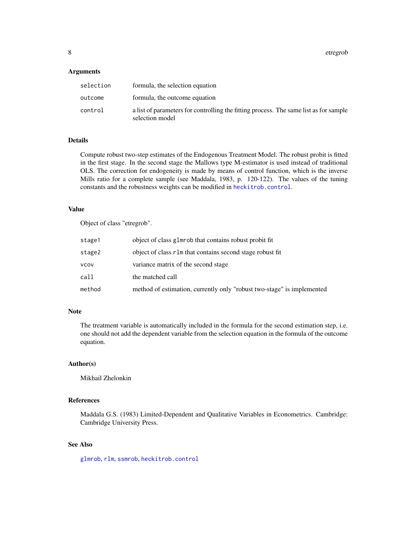<span id="page-7-0"></span>8 etregrob

#### **Arguments**

| selection | formula, the selection equation                                                                          |
|-----------|----------------------------------------------------------------------------------------------------------|
| outcome   | formula, the outcome equation                                                                            |
| control   | a list of parameters for controlling the fitting process. The same list as for sample<br>selection model |

## Details

Compute robust two-step estimates of the Endogenous Treatment Model. The robust probit is fitted in the first stage. In the second stage the Mallows type M-estimator is used instead of traditional OLS. The correction for endogeneity is made by means of control function, which is the inverse Mills ratio for a complete sample (see Maddala, 1983, p. 120-122). The values of the tuning constants and the robustness weights can be modified in [heckitrob.control](#page-15-1).

## Value

Object of class "etregrob".

| stage1 | object of class glmrob that contains robust probit fit                 |
|--------|------------------------------------------------------------------------|
| stage2 | object of class r1m that contains second stage robust fit              |
| vcov   | variance matrix of the second stage                                    |
| call   | the matched call                                                       |
| method | method of estimation, currently only "robust two-stage" is implemented |

#### Note

The treatment variable is automatically included in the formula for the second estimation step, i.e. one should not add the dependent variable from the selection equation in the formula of the outcome equation.

#### Author(s)

Mikhail Zhelonkin

## References

Maddala G.S. (1983) Limited-Dependent and Qualitative Variables in Econometrics. Cambridge: Cambridge University Press.

#### See Also

[glmrob](#page-0-0), [rlm](#page-0-0), [ssmrob](#page-25-1), [heckitrob.control](#page-15-1)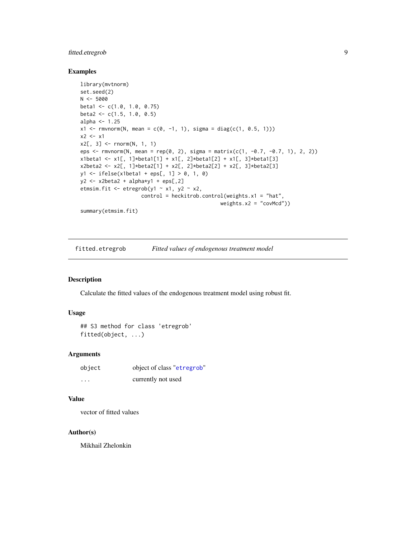## <span id="page-8-0"></span>fitted.etregrob 9

#### Examples

```
library(mvtnorm)
set.seed(2)
N < -5000beta1 <- c(1.0, 1.0, 0.75)
beta2 <- c(1.5, 1.0, 0.5)alpha <-1.25x1 \leq -rmvnorm(N, mean = c(0, -1, 1), sigma = diag(c(1, 0.5, 1)))
x2 \leq -x1x2[, 3] <- rnorm(N, 1, 1)
eps <- rmvnorm(N, mean = rep(0, 2), sigma = matrix(c(1, -0.7, -0.7, 1), 2, 2))
x1beta1 <- x1[, 1]*beta1[1] + x1[, 2]*beta1[2] + x1[, 3]*beta1[3]
x2beta2 \leftarrow x2[, 1]*beta2[1] + x2[, 2]*beta2[2] + x2[, 3]*beta2[3]
y1 \le - ifelse(x1beta1 + eps[, 1] > 0, 1, 0)
y2 \leq x2beta2 + alpha*y1 + eps[,2]
etmsim.fit <- etregrob(y1 \sim x1, y2 \sim x2,
                    control = heckitrob.contrib(weights.x1 = "hat",weights.x2 = "covMed")summary(etmsim.fit)
```
fitted.etregrob *Fitted values of endogenous treatment model*

#### Description

Calculate the fitted values of the endogenous treatment model using robust fit.

#### Usage

```
## S3 method for class 'etregrob'
fitted(object, ...)
```
#### Arguments

| object   | object of class "etregrob" |
|----------|----------------------------|
| $\cdots$ | currently not used         |

## Value

vector of fitted values

#### Author(s)

Mikhail Zhelonkin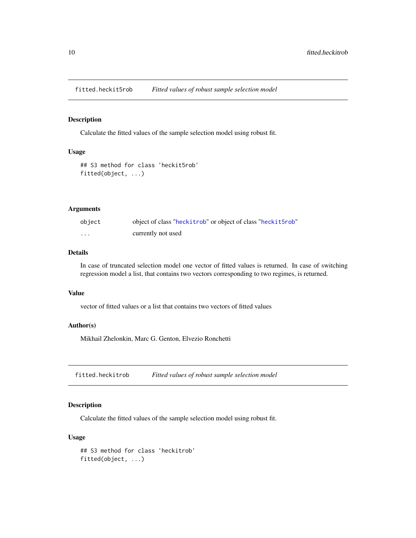<span id="page-9-0"></span>fitted.heckit5rob *Fitted values of robust sample selection model*

## Description

Calculate the fitted values of the sample selection model using robust fit.

#### Usage

```
## S3 method for class 'heckit5rob'
fitted(object, ...)
```
## Arguments

| object   | object of class "heckitrob" or object of class "heckit5rob" |
|----------|-------------------------------------------------------------|
| $\cdots$ | currently not used                                          |

#### Details

In case of truncated selection model one vector of fitted values is returned. In case of switching regression model a list, that contains two vectors corresponding to two regimes, is returned.

#### Value

vector of fitted values or a list that contains two vectors of fitted values

## Author(s)

Mikhail Zhelonkin, Marc G. Genton, Elvezio Ronchetti

fitted.heckitrob *Fitted values of robust sample selection model*

## Description

Calculate the fitted values of the sample selection model using robust fit.

## Usage

```
## S3 method for class 'heckitrob'
fitted(object, ...)
```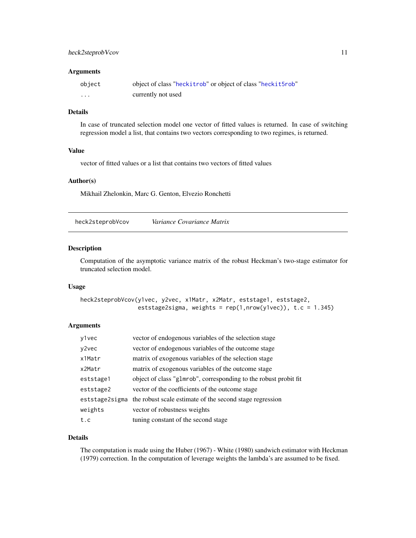## <span id="page-10-0"></span>heck2steprobVcov 11

#### **Arguments**

| object  | object of class "heckitrob" or object of class "heckit5rob" |
|---------|-------------------------------------------------------------|
| $\cdot$ | currently not used                                          |

## Details

In case of truncated selection model one vector of fitted values is returned. In case of switching regression model a list, that contains two vectors corresponding to two regimes, is returned.

## Value

vector of fitted values or a list that contains two vectors of fitted values

#### Author(s)

Mikhail Zhelonkin, Marc G. Genton, Elvezio Ronchetti

<span id="page-10-1"></span>heck2steprobVcov *Variance Covariance Matrix*

#### Description

Computation of the asymptotic variance matrix of the robust Heckman's two-stage estimator for truncated selection model.

#### Usage

```
heck2steprobVcov(y1vec, y2vec, x1Matr, x2Matr, eststage1, eststage2,
                 eststage2sigma, weights = rep(1, nrow(y1vec)), t.c = 1.345)
```
## Arguments

| y1vec     | vector of endogenous variables of the selection stage                   |
|-----------|-------------------------------------------------------------------------|
| y2vec     | vector of endogenous variables of the outcome stage                     |
| x1Matr    | matrix of exogenous variables of the selection stage                    |
| x2Matr    | matrix of exogenous variables of the outcome stage                      |
| eststage1 | object of class "glmrob", corresponding to the robust probit fit        |
| eststage2 | vector of the coefficients of the outcome stage                         |
|           | eststage2sigma the robust scale estimate of the second stage regression |
| weights   | vector of robustness weights                                            |
| t.c       | tuning constant of the second stage                                     |

#### Details

The computation is made using the Huber (1967) - White (1980) sandwich estimator with Heckman (1979) correction. In the computation of leverage weights the lambda's are assumed to be fixed.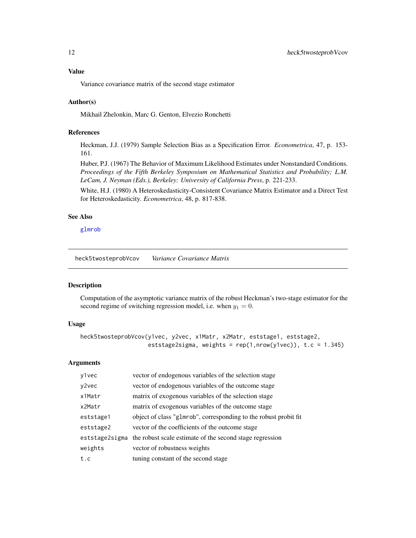## <span id="page-11-0"></span>Value

Variance covariance matrix of the second stage estimator

## Author(s)

Mikhail Zhelonkin, Marc G. Genton, Elvezio Ronchetti

## References

Heckman, J.J. (1979) Sample Selection Bias as a Specification Error. *Econometrica*, 47, p. 153- 161.

Huber, P.J. (1967) The Behavior of Maximum Likelihood Estimates under Nonstandard Conditions. *Proceedings of the Fifth Berkeley Symposium on Mathematical Statistics and Probability; L.M. LeCam, J. Neyman (Eds.), Berkeley: University of California Press*, p. 221-233.

White, H.J. (1980) A Heteroskedasticity-Consistent Covariance Matrix Estimator and a Direct Test for Heteroskedasticity. *Econometrica*, 48, p. 817-838.

## See Also

[glmrob](#page-0-0)

<span id="page-11-1"></span>heck5twosteprobVcov *Variance Covariance Matrix*

#### Description

Computation of the asymptotic variance matrix of the robust Heckman's two-stage estimator for the second regime of switching regression model, i.e. when  $y_1 = 0$ .

## Usage

```
heck5twosteprobVcov(y1vec, y2vec, x1Matr, x2Matr, eststage1, eststage2,
                    eststage2sigma, weights = rep(1, nrow(y1vec)), t.c = 1.345)
```
## Arguments

| y1vec     | vector of endogenous variables of the selection stage                   |
|-----------|-------------------------------------------------------------------------|
| y2vec     | vector of endogenous variables of the outcome stage                     |
| x1Matr    | matrix of exogenous variables of the selection stage                    |
| x2Matr    | matrix of exogenous variables of the outcome stage                      |
| eststage1 | object of class "glmrob", corresponding to the robust probit fit        |
| eststage2 | vector of the coefficients of the outcome stage                         |
|           | eststage2sigma the robust scale estimate of the second stage regression |
| weights   | vector of robustness weights                                            |
| t.c       | tuning constant of the second stage                                     |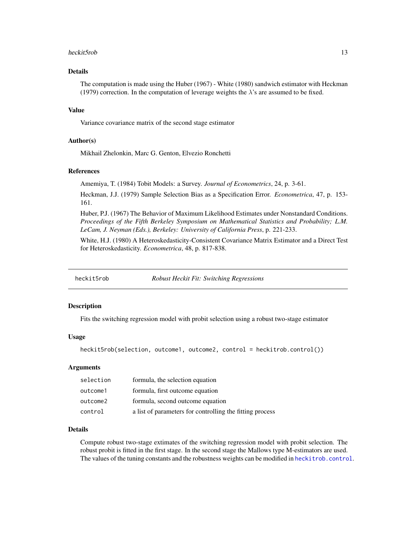#### <span id="page-12-0"></span>heckit5rob 13

## Details

The computation is made using the Huber (1967) - White (1980) sandwich estimator with Heckman (1979) correction. In the computation of leverage weights the  $\lambda$ 's are assumed to be fixed.

#### Value

Variance covariance matrix of the second stage estimator

#### Author(s)

Mikhail Zhelonkin, Marc G. Genton, Elvezio Ronchetti

## References

Amemiya, T. (1984) Tobit Models: a Survey. *Journal of Econometrics*, 24, p. 3-61.

Heckman, J.J. (1979) Sample Selection Bias as a Specification Error. *Econometrica*, 47, p. 153- 161.

Huber, P.J. (1967) The Behavior of Maximum Likelihood Estimates under Nonstandard Conditions. *Proceedings of the Fifth Berkeley Symposium on Mathematical Statistics and Probability; L.M. LeCam, J. Neyman (Eds.), Berkeley: University of California Press*, p. 221-233.

White, H.J. (1980) A Heteroskedasticity-Consistent Covariance Matrix Estimator and a Direct Test for Heteroskedasticity. *Econometrica*, 48, p. 817-838.

<span id="page-12-1"></span>

heckit5rob *Robust Heckit Fit: Switching Regressions*

## Description

Fits the switching regression model with probit selection using a robust two-stage estimator

#### Usage

heckit5rob(selection, outcome1, outcome2, control = heckitrob.control())

#### Arguments

| selection | formula, the selection equation                          |
|-----------|----------------------------------------------------------|
| outcome1  | formula, first outcome equation                          |
| outcome2  | formula, second outcome equation                         |
| control   | a list of parameters for controlling the fitting process |

## Details

Compute robust two-stage extimates of the switching regression model with probit selection. The robust probit is fitted in the first stage. In the second stage the Mallows type M-estimators are used. The values of the tuning constants and the robustness weights can be modified in [heckitrob.control](#page-15-1).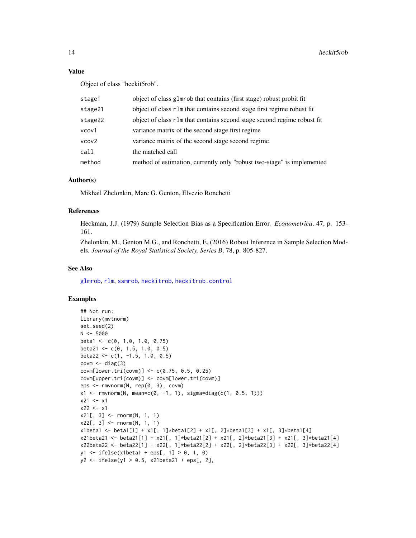#### Value

Object of class "heckit5rob".

| stage1  | object of class glmrob that contains (first stage) robust probit fit    |
|---------|-------------------------------------------------------------------------|
| stage21 | object of class r1m that contains second stage first regime robust fit  |
| stage22 | object of class r1m that contains second stage second regime robust fit |
| vcov1   | variance matrix of the second stage first regime                        |
| vcov2   | variance matrix of the second stage second regime                       |
| call    | the matched call                                                        |
| method  | method of estimation, currently only "robust two-stage" is implemented  |
|         |                                                                         |

#### Author(s)

Mikhail Zhelonkin, Marc G. Genton, Elvezio Ronchetti

#### References

Heckman, J.J. (1979) Sample Selection Bias as a Specification Error. *Econometrica*, 47, p. 153- 161.

Zhelonkin, M., Genton M.G., and Ronchetti, E. (2016) Robust Inference in Sample Selection Models. *Journal of the Royal Statistical Society, Series B*, 78, p. 805-827.

#### See Also

[glmrob](#page-0-0), [rlm](#page-0-0), [ssmrob](#page-25-1), [heckitrob](#page-14-1), [heckitrob.control](#page-15-1)

#### Examples

```
## Not run:
library(mvtnorm)
set.seed(2)
N < -5000beta1 <- c(0, 1.0, 1.0, 0.75)
beta21 <- c(0, 1.5, 1.0, 0.5)
beta22 <- c(1, -1.5, 1.0, 0.5)
covm <- diag(3)
covm[lower.tri(covm)] < -c(0.75, 0.5, 0.25)covm[upper.tri(covm)] <- covm[lower.tri(covm)]
eps <- rmvnorm(N, rep(0, 3), covm)
x1 \le r mvnorm(N, mean=c(0, -1, 1), sigma=diag(c(1, 0.5, 1)))
x21 < - x1x22 < - x1x21[, 3] <- rnorm(N, 1, 1)
x22[, 3] <- rnorm(N, 1, 1)
x1beta1 <- beta1[1] + x1[, 1]*beta1[2] + x1[, 2]*beta1[3] + x1[, 3]*beta1[4]
x21beta21 <- beta21[1] + x21[, 1]*beta21[2] + x21[, 2]*beta21[3] + x21[, 3]*beta21[4]
x22beta22 <- beta22[1] + x22[, 1]*beta22[2] + x22[, 2]*beta22[3] + x22[, 3]*beta22[4]
y1 \le - ifelse(x1beta1 + eps[, 1] > 0, 1, 0)
y2 <- ifelse(y1 > 0.5, x21beta21 + eps[, 2],
```
<span id="page-13-0"></span>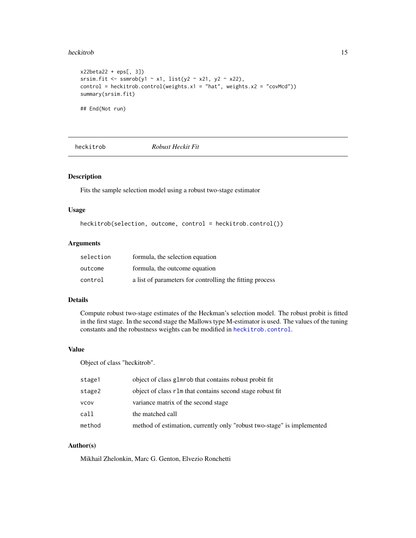#### <span id="page-14-0"></span>heckitrob 15

```
x22beta22 + eps[, 3])
srsim.fit <- ssmrob(y1 ~ x1, list(y2 ~ x21, y2 ~ x22),
control = heckitrob.control(weights.x1 = "hat", weights.x2 = "covMcd"))
summary(srsim.fit)
```
## End(Not run)

<span id="page-14-1"></span>

heckitrob *Robust Heckit Fit*

## Description

Fits the sample selection model using a robust two-stage estimator

## Usage

heckitrob(selection, outcome, control = heckitrob.control())

#### Arguments

| selection | formula, the selection equation                          |
|-----------|----------------------------------------------------------|
| outcome   | formula, the outcome equation                            |
| control   | a list of parameters for controlling the fitting process |

## Details

Compute robust two-stage estimates of the Heckman's selection model. The robust probit is fitted in the first stage. In the second stage the Mallows type M-estimator is used. The values of the tuning constants and the robustness weights can be modified in [heckitrob.control](#page-15-1).

## Value

Object of class "heckitrob".

| stage1 | object of class glmrob that contains robust probit fit                 |
|--------|------------------------------------------------------------------------|
| stage2 | object of class r1m that contains second stage robust fit              |
| vcov   | variance matrix of the second stage                                    |
| call   | the matched call                                                       |
| method | method of estimation, currently only "robust two-stage" is implemented |

## Author(s)

Mikhail Zhelonkin, Marc G. Genton, Elvezio Ronchetti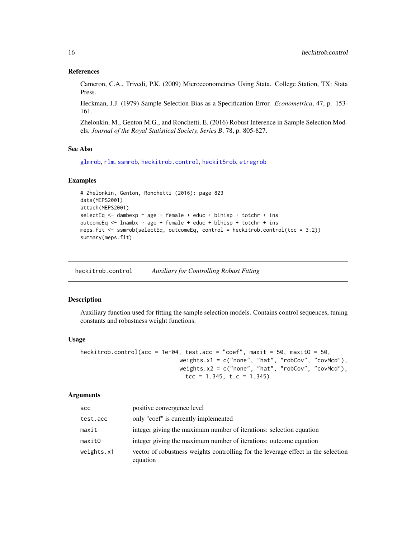#### References

Cameron, C.A., Trivedi, P.K. (2009) Microeconometrics Using Stata. College Station, TX: Stata Press.

Heckman, J.J. (1979) Sample Selection Bias as a Specification Error. *Econometrica*, 47, p. 153- 161.

Zhelonkin, M., Genton M.G., and Ronchetti, E. (2016) Robust Inference in Sample Selection Models. *Journal of the Royal Statistical Society, Series B*, 78, p. 805-827.

## See Also

[glmrob](#page-0-0), [rlm](#page-0-0), [ssmrob](#page-25-1), [heckitrob.control](#page-15-1), [heckit5rob](#page-12-1), [etregrob](#page-6-1)

#### Examples

```
# Zhelonkin, Genton, Ronchetti (2016): page 823
data(MEPS2001)
attach(MEPS2001)
selectEq \leq dambexp \sim age + female + educ + blhisp + totchr + ins
outcomeEq <- lnambx ~ age + female + educ + blhisp + totchr + ins
meps.fit <- ssmrob(selectEq, outcomeEq, control = heckitrob.control(tcc = 3.2))
summary(meps.fit)
```
<span id="page-15-1"></span>heckitrob.control *Auxiliary for Controlling Robust Fitting*

#### Description

Auxiliary function used for fitting the sample selection models. Contains control sequences, tuning constants and robustness weight functions.

#### Usage

```
heckitrob.control(acc = 1e-04, test.acc = "coef", maxit = 50, maxit0 = 50,
                             weights.x1 = c("none", "hat", "robCov", "covMed"),weights.x2 = c("none", "hat", "robCov", "covMcd"),
                               tcc = 1.345, t.c = 1.345
```
#### Arguments

| acc        | positive convergence level                                                                    |
|------------|-----------------------------------------------------------------------------------------------|
| test.acc   | only "coef" is currently implemented                                                          |
| maxit      | integer giving the maximum number of iterations: selection equation                           |
| maxitO     | integer giving the maximum number of iterations: outcome equation                             |
| weights.x1 | vector of robustness weights controlling for the leverage effect in the selection<br>equation |

<span id="page-15-0"></span>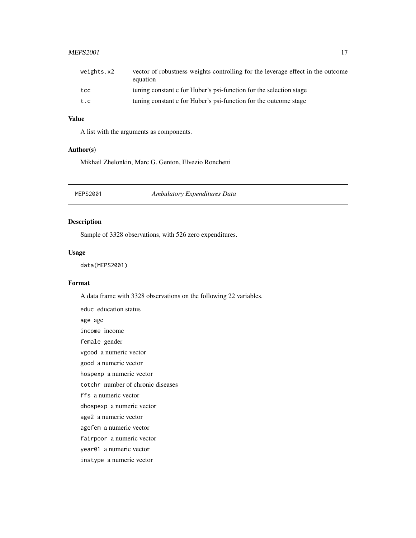#### <span id="page-16-0"></span> $MEPS2001$  and the set of the set of the set of the set of the set of the set of the set of the set of the set of the set of the set of the set of the set of the set of the set of the set of the set of the set of the set of

| weights.x2 | vector of robustness weights controlling for the leverage effect in the outcome<br>equation |
|------------|---------------------------------------------------------------------------------------------|
| tcc        | tuning constant c for Huber's psi-function for the selection stage                          |
| t.c        | tuning constant c for Huber's psi-function for the outcome stage                            |

## Value

A list with the arguments as components.

## Author(s)

Mikhail Zhelonkin, Marc G. Genton, Elvezio Ronchetti

MEPS2001 *Ambulatory Expenditures Data*

## Description

Sample of 3328 observations, with 526 zero expenditures.

#### Usage

data(MEPS2001)

#### Format

A data frame with 3328 observations on the following 22 variables.

educ education status age age income income female gender vgood a numeric vector good a numeric vector hospexp a numeric vector totchr number of chronic diseases ffs a numeric vector dhospexp a numeric vector age2 a numeric vector agefem a numeric vector fairpoor a numeric vector year01 a numeric vector instype a numeric vector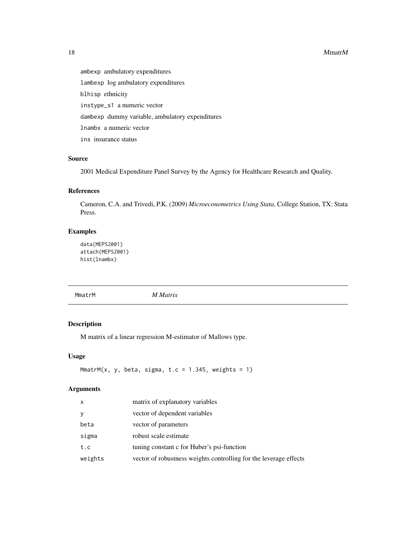#### 18 MmatrM

ambexp ambulatory expenditures lambexp log ambulatory expenditures blhisp ethnicity instype\_s1 a numeric vector dambexp dummy variable, ambulatory expenditures lnambx a numeric vector ins insurance status

## Source

2001 Medical Expenditure Panel Survey by the Agency for Healthcare Research and Quality.

## References

Cameron, C.A. and Trivedi, P.K. (2009) *Microeconometrics Using Stata*, College Station, TX: Stata Press.

## Examples

```
data(MEPS2001)
attach(MEPS2001)
hist(lnambx)
```
MmatrM *M Matrix*

## Description

M matrix of a linear regression M-estimator of Mallows type.

#### Usage

```
MmatrM(x, y, beta, sigma, t.c = 1.345, weights = 1)
```
## Arguments

| x       | matrix of explanatory variables                                   |
|---------|-------------------------------------------------------------------|
| У       | vector of dependent variables                                     |
| beta    | vector of parameters                                              |
| sigma   | robust scale estimate                                             |
| t.c     | tuning constant c for Huber's psi-function                        |
| weights | vector of robustness weights controlling for the leverage effects |

<span id="page-17-0"></span>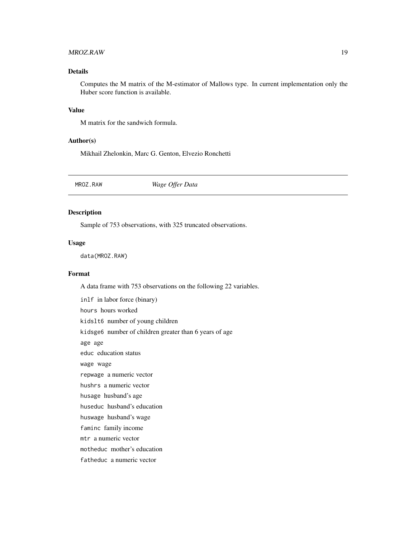#### <span id="page-18-0"></span>MROZ.RAW 19

## Details

Computes the M matrix of the M-estimator of Mallows type. In current implementation only the Huber score function is available.

## Value

M matrix for the sandwich formula.

#### Author(s)

Mikhail Zhelonkin, Marc G. Genton, Elvezio Ronchetti

MROZ.RAW *Wage Offer Data*

## Description

Sample of 753 observations, with 325 truncated observations.

## Usage

data(MROZ.RAW)

#### Format

A data frame with 753 observations on the following 22 variables.

inlf in labor force (binary) hours hours worked kidslt6 number of young children kidsge6 number of children greater than 6 years of age age age educ education status wage wage repwage a numeric vector hushrs a numeric vector husage husband's age huseduc husband's education huswage husband's wage faminc family income mtr a numeric vector motheduc mother's education fatheduc a numeric vector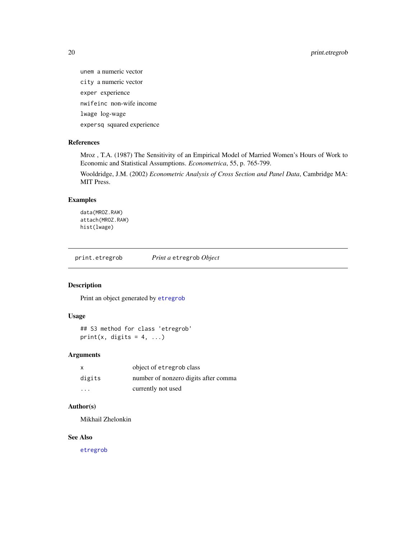<span id="page-19-0"></span>20 print.etregrob

unem a numeric vector city a numeric vector exper experience nwifeinc non-wife income lwage log-wage expersq squared experience

## References

Mroz , T.A. (1987) The Sensitivity of an Empirical Model of Married Women's Hours of Work to Economic and Statistical Assumptions. *Econometrica*, 55, p. 765-799.

Wooldridge, J.M. (2002) *Econometric Analysis of Cross Section and Panel Data*, Cambridge MA: MIT Press.

## Examples

data(MROZ.RAW) attach(MROZ.RAW) hist(lwage)

print.etregrob *Print a* etregrob *Object*

## Description

Print an object generated by [etregrob](#page-6-1)

#### Usage

```
## S3 method for class 'etregrob'
print(x, digits = 4, ...)
```
## Arguments

| X        | object of etregrob class             |
|----------|--------------------------------------|
| digits   | number of nonzero digits after comma |
| $\cdots$ | currently not used                   |

## Author(s)

Mikhail Zhelonkin

## See Also

[etregrob](#page-6-1)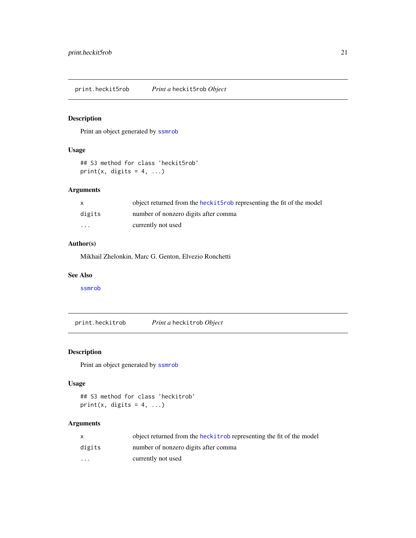<span id="page-20-0"></span>print.heckit5rob *Print a* heckit5rob *Object*

## Description

Print an object generated by [ssmrob](#page-25-1)

## Usage

```
## S3 method for class 'heckit5rob'
print(x, digits = 4, ...)
```
## Arguments

|                         | object returned from the heck it 5rob representing the fit of the model |
|-------------------------|-------------------------------------------------------------------------|
| digits                  | number of nonzero digits after comma                                    |
| $\cdot$ $\cdot$ $\cdot$ | currently not used                                                      |

## Author(s)

Mikhail Zhelonkin, Marc G. Genton, Elvezio Ronchetti

#### See Also

[ssmrob](#page-25-1)

print.heckitrob *Print a* heckitrob *Object*

## Description

Print an object generated by [ssmrob](#page-25-1)

## Usage

```
## S3 method for class 'heckitrob'
print(x, \text{ digits} = 4, \ldots)
```
## Arguments

|                         | object returned from the heck it rob representing the fit of the model |
|-------------------------|------------------------------------------------------------------------|
| digits                  | number of nonzero digits after comma                                   |
| $\cdot$ $\cdot$ $\cdot$ | currently not used                                                     |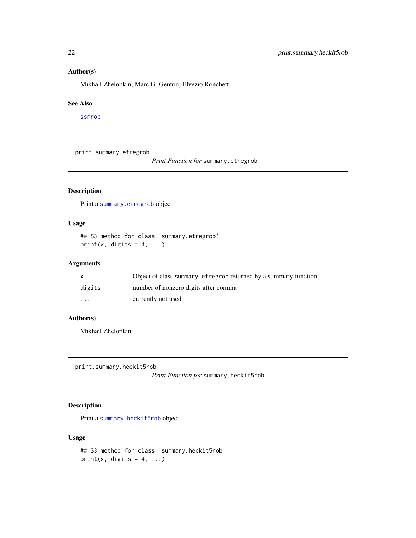## Author(s)

Mikhail Zhelonkin, Marc G. Genton, Elvezio Ronchetti

#### See Also

[ssmrob](#page-25-1)

print.summary.etregrob

*Print Function for* summary.etregrob

## Description

Print a [summary.etregrob](#page-27-1) object

## Usage

## S3 method for class 'summary.etregrob' print(x, digits =  $4, ...$ )

## Arguments

|          | Object of class summary. etregrob returned by a summary function |
|----------|------------------------------------------------------------------|
| digits   | number of nonzero digits after comma                             |
| $\cdots$ | currently not used                                               |

## Author(s)

Mikhail Zhelonkin

print.summary.heckit5rob

*Print Function for* summary.heckit5rob

## Description

Print a [summary.heckit5rob](#page-28-1) object

## Usage

```
## S3 method for class 'summary.heckit5rob'
print(x, digits = 4, ...)
```
<span id="page-21-0"></span>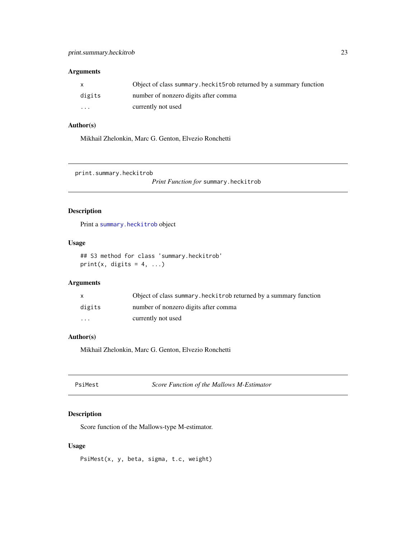#### <span id="page-22-0"></span>Arguments

| X.                      | Object of class summary. heck it 5rob returned by a summary function |
|-------------------------|----------------------------------------------------------------------|
| digits                  | number of nonzero digits after comma                                 |
| $\cdot$ $\cdot$ $\cdot$ | currently not used                                                   |

## Author(s)

Mikhail Zhelonkin, Marc G. Genton, Elvezio Ronchetti

print.summary.heckitrob

*Print Function for* summary.heckitrob

## Description

Print a [summary.heckitrob](#page-28-2) object

## Usage

## S3 method for class 'summary.heckitrob' print(x, digits =  $4, ...$ )

#### Arguments

|          | Object of class summary. heckitrob returned by a summary function |
|----------|-------------------------------------------------------------------|
| digits   | number of nonzero digits after comma                              |
| $\cdots$ | currently not used                                                |

## Author(s)

Mikhail Zhelonkin, Marc G. Genton, Elvezio Ronchetti

| PsiMest | Score Function of the Mallows M-Estimator |
|---------|-------------------------------------------|
|---------|-------------------------------------------|

## Description

Score function of the Mallows-type M-estimator.

## Usage

PsiMest(x, y, beta, sigma, t.c, weight)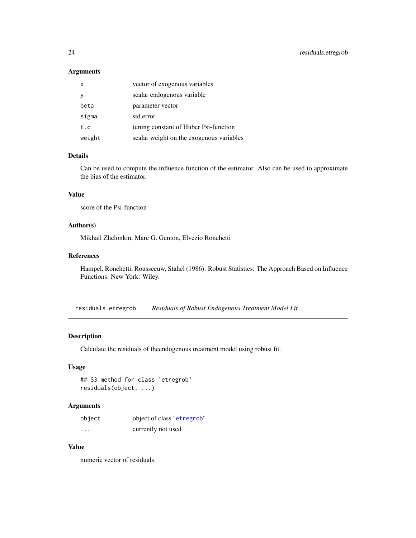## <span id="page-23-0"></span>Arguments

| $\mathsf{x}$ | vector of exogenous variables            |
|--------------|------------------------------------------|
| <b>V</b>     | scalar endogenous variable               |
| beta         | parameter vector                         |
| sigma        | std.error                                |
| t.c          | tuning constant of Huber Psi-function    |
| weight       | scalar weight on the exogenous variables |

#### Details

Can be used to compute the influence function of the estimator. Also can be used to approximate the bias of the estimator.

## Value

score of the Psi-function

## Author(s)

Mikhail Zhelonkin, Marc G. Genton, Elvezio Ronchetti

#### References

Hampel, Ronchetti, Rousseeuw, Stahel (1986). Robust Statistics: The Approach Based on Influence Functions. New York: Wiley.

residuals.etregrob *Residuals of Robust Endogenous Treatment Model Fit*

## Description

Calculate the residuals of theendogenous treatment model using robust fit.

#### Usage

```
## S3 method for class 'etregrob'
residuals(object, ...)
```
## Arguments

| object   | object of class "etregrob" |
|----------|----------------------------|
| $\cdots$ | currently not used         |

## Value

numeric vector of residuals.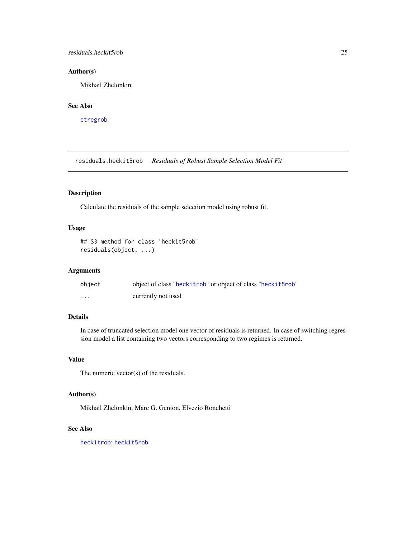## <span id="page-24-0"></span>residuals.heckit5rob 25

## Author(s)

Mikhail Zhelonkin

## See Also

[etregrob](#page-6-1)

residuals.heckit5rob *Residuals of Robust Sample Selection Model Fit*

## Description

Calculate the residuals of the sample selection model using robust fit.

## Usage

```
## S3 method for class 'heckit5rob'
residuals(object, ...)
```
#### Arguments

| object   | object of class "heckitrob" or object of class "heckit5rob" |
|----------|-------------------------------------------------------------|
| $\cdots$ | currently not used                                          |

## Details

In case of truncated selection model one vector of residuals is returned. In case of switching regression model a list containing two vectors corresponding to two regimes is returned.

## Value

The numeric vector(s) of the residuals.

#### Author(s)

Mikhail Zhelonkin, Marc G. Genton, Elvezio Ronchetti

#### See Also

[heckitrob](#page-14-1); [heckit5rob](#page-12-1)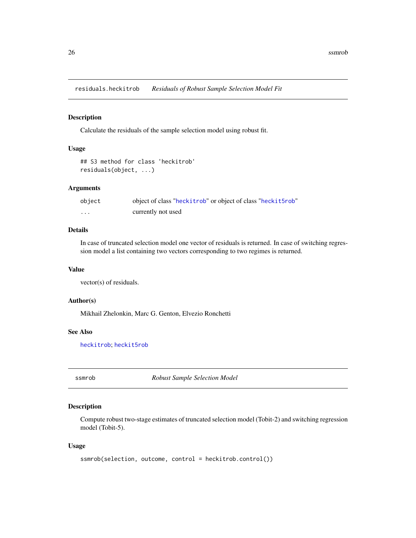<span id="page-25-0"></span>residuals.heckitrob *Residuals of Robust Sample Selection Model Fit*

#### Description

Calculate the residuals of the sample selection model using robust fit.

## Usage

```
## S3 method for class 'heckitrob'
residuals(object, ...)
```
#### Arguments

| object   | object of class "heckitrob" or object of class "heckit5rob" |
|----------|-------------------------------------------------------------|
| $\cdots$ | currently not used                                          |

## Details

In case of truncated selection model one vector of residuals is returned. In case of switching regression model a list containing two vectors corresponding to two regimes is returned.

#### Value

vector(s) of residuals.

#### Author(s)

Mikhail Zhelonkin, Marc G. Genton, Elvezio Ronchetti

## See Also

[heckitrob](#page-14-1); [heckit5rob](#page-12-1)

<span id="page-25-1"></span>ssmrob *Robust Sample Selection Model*

## Description

Compute robust two-stage estimates of truncated selection model (Tobit-2) and switching regression model (Tobit-5).

#### Usage

```
ssmrob(selection, outcome, control = heckitrob.control())
```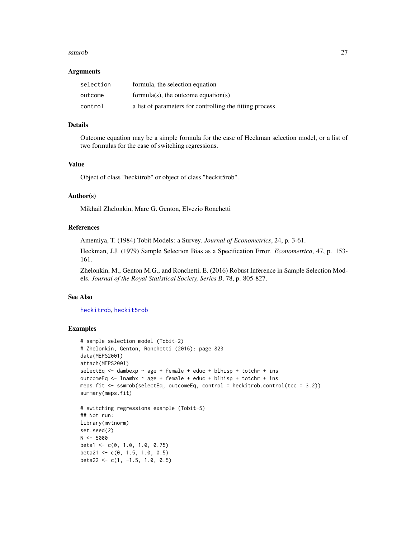#### <span id="page-26-0"></span>ssmrob 27

#### Arguments

| selection | formula, the selection equation                          |
|-----------|----------------------------------------------------------|
| outcome   | formula(s), the outcome equation(s)                      |
| control   | a list of parameters for controlling the fitting process |

## Details

Outcome equation may be a simple formula for the case of Heckman selection model, or a list of two formulas for the case of switching regressions.

## Value

Object of class "heckitrob" or object of class "heckit5rob".

## Author(s)

Mikhail Zhelonkin, Marc G. Genton, Elvezio Ronchetti

#### References

Amemiya, T. (1984) Tobit Models: a Survey. *Journal of Econometrics*, 24, p. 3-61.

Heckman, J.J. (1979) Sample Selection Bias as a Specification Error. *Econometrica*, 47, p. 153- 161.

Zhelonkin, M., Genton M.G., and Ronchetti, E. (2016) Robust Inference in Sample Selection Models. *Journal of the Royal Statistical Society, Series B*, 78, p. 805-827.

#### See Also

[heckitrob](#page-14-1), [heckit5rob](#page-12-1)

## Examples

```
# sample selection model (Tobit-2)
# Zhelonkin, Genton, Ronchetti (2016): page 823
data(MEPS2001)
attach(MEPS2001)
selectEq \leq dambexp \sim age + female + educ + blhisp + totchr + ins
outcomeEq \le 1nambx \sim age + female + educ + blhisp + totchr + ins
meps.fit \leq ssmrob(selectEq, outcomeEq, control = heckitrob.control(tcc = 3.2))
summary(meps.fit)
# switching regressions example (Tobit-5)
## Not run:
library(mvtnorm)
set.seed(2)
N < -5000beta1 <- c(0, 1.0, 1.0, 0.75)
beta21 <- c(0, 1.5, 1.0, 0.5)
beta22 <- c(1, -1.5, 1.0, 0.5)
```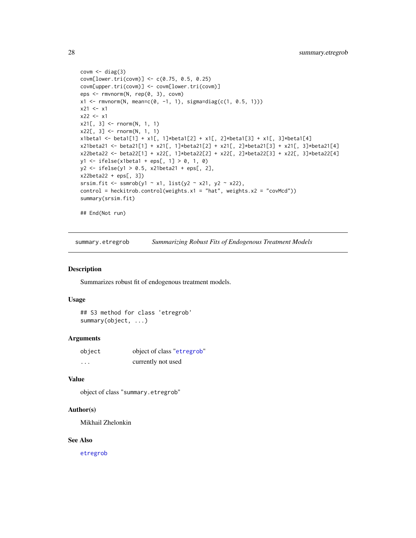```
covm \leftarrow diag(3)covm[lower.tri(covm)] <- c(0.75, 0.5, 0.25)
covm[upper.tri(covm)] <- covm[lower.tri(covm)]
eps <- rmvnorm(N, rep(0, 3), covm)
x1 \le r mvnorm(N, mean=c(0, -1, 1), sigma=diag(c(1, 0.5, 1)))
x21 < - x1x22 < - x1x21[, 3] <- rnorm(N, 1, 1)
x22[, 3] <- rnorm(N, 1, 1)
x1beta1 <- beta1[1] + x1[, 1]*beta1[2] + x1[, 2]*beta1[3] + x1[, 3]*beta1[4]
x21beta21 <- beta21[1] + x21[, 1]*beta21[2] + x21[, 2]*beta21[3] + x21[, 3]*beta21[4]
x22beta22 <- beta22[1] + x22[, 1]*beta22[2] + x22[, 2]*beta22[3] + x22[, 3]*beta22[4]
y1 <- ifelse(x1beta1 + eps[, 1] > 0, 1, 0)
y2 <- ifelse(y1 > 0.5, x21beta21 + eps[, 2],
x22beta22 + eps[, 3])
srsim.fit <- ssmrob(y1 \sim x1, list(y2 \sim x21, y2 \sim x22),
control = heckitrob.control(weights.x1 = "hat", weights.x2 = "covMcd"))
summary(srsim.fit)
## End(Not run)
```
<span id="page-27-1"></span>summary.etregrob *Summarizing Robust Fits of Endogenous Treatment Models*

## Description

Summarizes robust fit of endogenous treatment models.

#### Usage

## S3 method for class 'etregrob' summary(object, ...)

#### Arguments

| object   | object of class "etregrob" |
|----------|----------------------------|
| $\cdots$ | currently not used         |

#### Value

object of class "summary.etregrob"

#### Author(s)

Mikhail Zhelonkin

#### See Also

[etregrob](#page-6-1)

<span id="page-27-0"></span>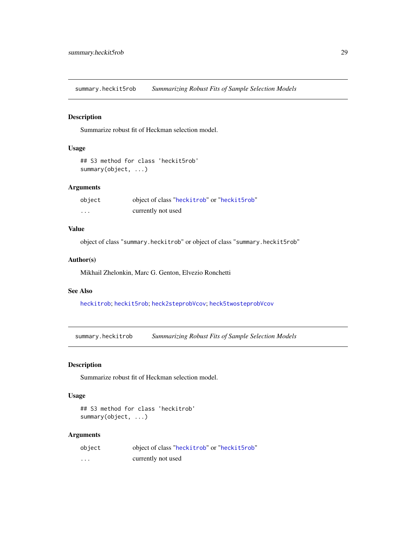<span id="page-28-1"></span><span id="page-28-0"></span>summary.heckit5rob *Summarizing Robust Fits of Sample Selection Models*

## Description

Summarize robust fit of Heckman selection model.

## Usage

```
## S3 method for class 'heckit5rob'
summary(object, ...)
```
#### Arguments

| object | object of class "heckitrob" or "heckit5rob" |
|--------|---------------------------------------------|
| .      | currently not used                          |

## Value

object of class "summary.heckitrob" or object of class "summary.heckit5rob"

#### Author(s)

Mikhail Zhelonkin, Marc G. Genton, Elvezio Ronchetti

## See Also

[heckitrob](#page-14-1); [heckit5rob](#page-12-1); [heck2steprobVcov](#page-10-1); [heck5twosteprobVcov](#page-11-1)

<span id="page-28-2"></span>summary.heckitrob *Summarizing Robust Fits of Sample Selection Models*

## Description

Summarize robust fit of Heckman selection model.

## Usage

```
## S3 method for class 'heckitrob'
summary(object, ...)
```
## Arguments

| object   | object of class "heckitrob" or "heckit5rob" |
|----------|---------------------------------------------|
| $\cdots$ | currently not used                          |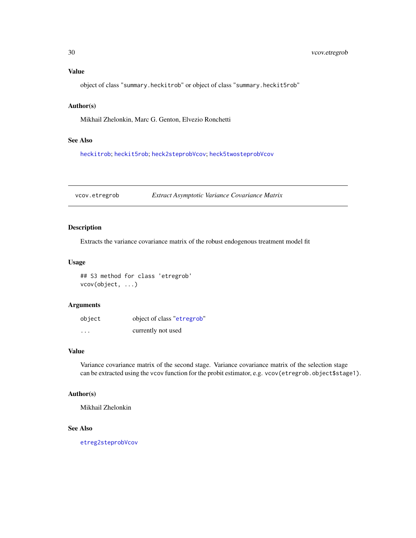## <span id="page-29-0"></span>Value

object of class "summary.heckitrob" or object of class "summary.heckit5rob"

## Author(s)

Mikhail Zhelonkin, Marc G. Genton, Elvezio Ronchetti

## See Also

[heckitrob](#page-14-1); [heckit5rob](#page-12-1); [heck2steprobVcov](#page-10-1); [heck5twosteprobVcov](#page-11-1)

vcov.etregrob *Extract Asymptotic Variance Covariance Matrix*

## Description

Extracts the variance covariance matrix of the robust endogenous treatment model fit

## Usage

## S3 method for class 'etregrob' vcov(object, ...)

#### Arguments

| object   | object of class "etregrob" |
|----------|----------------------------|
| $\cdots$ | currently not used         |

## Value

Variance covariance matrix of the second stage. Variance covariance matrix of the selection stage can be extracted using the vcov function for the probit estimator, e.g. vcov(etregrob.object\$stage1).

#### Author(s)

Mikhail Zhelonkin

#### See Also

[etreg2steprobVcov](#page-5-1)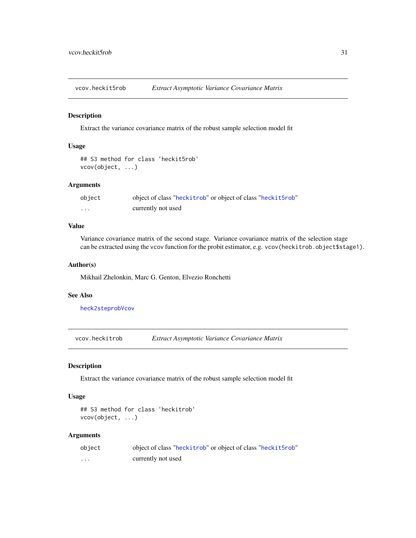<span id="page-30-0"></span>vcov.heckit5rob *Extract Asymptotic Variance Covariance Matrix*

## Description

Extract the variance covariance matrix of the robust sample selection model fit

## Usage

```
## S3 method for class 'heckit5rob'
vcov(object, ...)
```
## Arguments

| object | object of class "heckitrob" or object of class "heckit5rob" |
|--------|-------------------------------------------------------------|
| .      | currently not used                                          |

#### Value

Variance covariance matrix of the second stage. Variance covariance matrix of the selection stage can be extracted using the vcov function for the probit estimator, e.g. vcov(heckitrob.object\$stage1).

## Author(s)

Mikhail Zhelonkin, Marc G. Genton, Elvezio Ronchetti

## See Also

[heck2steprobVcov](#page-10-1)

vcov.heckitrob *Extract Asymptotic Variance Covariance Matrix*

## Description

Extract the variance covariance matrix of the robust sample selection model fit

#### Usage

```
## S3 method for class 'heckitrob'
vcov(object, ...)
```
#### Arguments

| object | object of class "heckitrob" or object of class "heckit5rob" |
|--------|-------------------------------------------------------------|
| .      | currently not used                                          |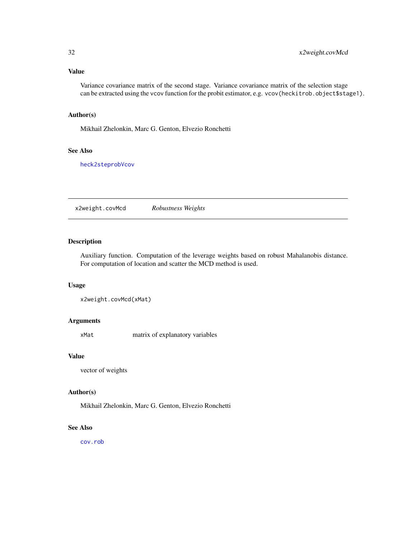## <span id="page-31-0"></span>Value

Variance covariance matrix of the second stage. Variance covariance matrix of the selection stage can be extracted using the vcov function for the probit estimator, e.g. vcov(heckitrob.object\$stage1).

#### Author(s)

Mikhail Zhelonkin, Marc G. Genton, Elvezio Ronchetti

## See Also

[heck2steprobVcov](#page-10-1)

x2weight.covMcd *Robustness Weights*

#### Description

Auxiliary function. Computation of the leverage weights based on robust Mahalanobis distance. For computation of location and scatter the MCD method is used.

#### Usage

x2weight.covMcd(xMat)

## Arguments

xMat matrix of explanatory variables

## Value

vector of weights

## Author(s)

Mikhail Zhelonkin, Marc G. Genton, Elvezio Ronchetti

#### See Also

[cov.rob](#page-0-0)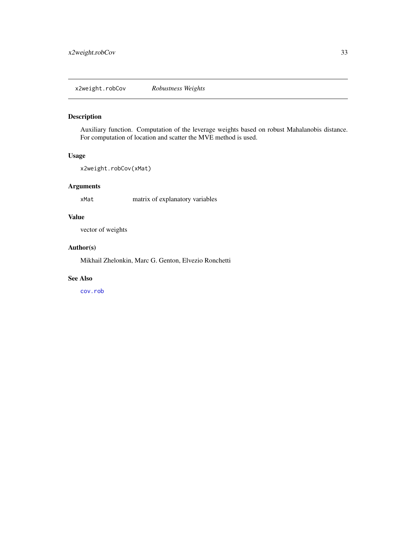## <span id="page-32-0"></span>Description

Auxiliary function. Computation of the leverage weights based on robust Mahalanobis distance. For computation of location and scatter the MVE method is used.

#### Usage

```
x2weight.robCov(xMat)
```
## Arguments

xMat matrix of explanatory variables

## Value

vector of weights

## Author(s)

Mikhail Zhelonkin, Marc G. Genton, Elvezio Ronchetti

#### See Also

[cov.rob](#page-0-0)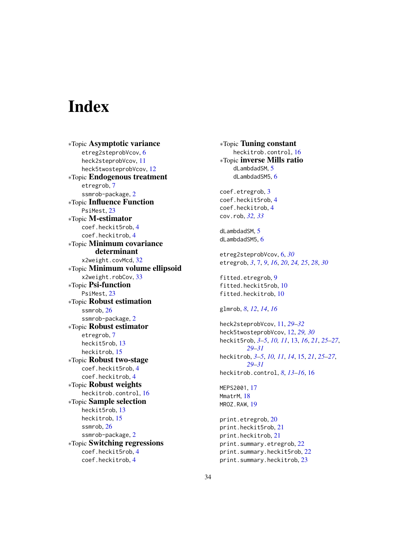# <span id="page-33-0"></span>**Index**

∗Topic Asymptotic variance etreg2steprobVcov, [6](#page-5-0) heck2steprobVcov, [11](#page-10-0) heck5twosteprobVcov, [12](#page-11-0) ∗Topic Endogenous treatment etregrob, [7](#page-6-0) ssmrob-package, [2](#page-1-0) ∗Topic Influence Function PsiMest, [23](#page-22-0) ∗Topic M-estimator coef.heckit5rob, [4](#page-3-0) coef.heckitrob, [4](#page-3-0) ∗Topic Minimum covariance determinant x2weight.covMcd, [32](#page-31-0) ∗Topic Minimum volume ellipsoid x2weight.robCov, [33](#page-32-0) ∗Topic Psi-function PsiMest, [23](#page-22-0) ∗Topic Robust estimation ssmrob, [26](#page-25-0) ssmrob-package, [2](#page-1-0) ∗Topic Robust estimator etregrob, [7](#page-6-0) heckit5rob, [13](#page-12-0) heckitrob, [15](#page-14-0) ∗Topic Robust two-stage coef.heckit5rob, [4](#page-3-0) coef.heckitrob, [4](#page-3-0) ∗Topic Robust weights heckitrob.control, [16](#page-15-0) ∗Topic Sample selection heckit5rob, [13](#page-12-0) heckitrob, [15](#page-14-0) ssmrob, [26](#page-25-0) ssmrob-package, [2](#page-1-0) ∗Topic Switching regressions coef.heckit5rob, [4](#page-3-0) coef.heckitrob, [4](#page-3-0)

∗Topic Tuning constant heckitrob.control, [16](#page-15-0) ∗Topic inverse Mills ratio dLambdadSM, [5](#page-4-0) dLambdadSM5, [6](#page-5-0) coef.etregrob, [3](#page-2-0) coef.heckit5rob, [4](#page-3-0) coef.heckitrob, [4](#page-3-0) cov.rob, *[32,](#page-31-0) [33](#page-32-0)* dLambdadSM, [5](#page-4-0) dLambdadSM5, [6](#page-5-0) etreg2steprobVcov, [6,](#page-5-0) *[30](#page-29-0)* etregrob, *[3](#page-2-0)*, [7,](#page-6-0) *[9](#page-8-0)*, *[16](#page-15-0)*, *[20](#page-19-0)*, *[24,](#page-23-0) [25](#page-24-0)*, *[28](#page-27-0)*, *[30](#page-29-0)* fitted.etregrob, [9](#page-8-0) fitted.heckit5rob, [10](#page-9-0) fitted.heckitrob, [10](#page-9-0) glmrob, *[8](#page-7-0)*, *[12](#page-11-0)*, *[14](#page-13-0)*, *[16](#page-15-0)* heck2steprobVcov, [11,](#page-10-0) *[29](#page-28-0)[–32](#page-31-0)* heck5twosteprobVcov, [12,](#page-11-0) *[29,](#page-28-0) [30](#page-29-0)* heckit5rob, *[3](#page-2-0)[–5](#page-4-0)*, *[10,](#page-9-0) [11](#page-10-0)*, [13,](#page-12-0) *[16](#page-15-0)*, *[21](#page-20-0)*, *[25](#page-24-0)[–27](#page-26-0)*, *[29](#page-28-0)[–31](#page-30-0)* heckitrob, *[3](#page-2-0)[–5](#page-4-0)*, *[10,](#page-9-0) [11](#page-10-0)*, *[14](#page-13-0)*, [15,](#page-14-0) *[21](#page-20-0)*, *[25](#page-24-0)[–27](#page-26-0)*, *[29](#page-28-0)[–31](#page-30-0)* heckitrob.control, *[8](#page-7-0)*, *[13](#page-12-0)[–16](#page-15-0)*, [16](#page-15-0) MEPS2001, [17](#page-16-0) MmatrM, [18](#page-17-0) MROZ.RAW, [19](#page-18-0) print.etregrob, [20](#page-19-0) print.heckit5rob, [21](#page-20-0) print.heckitrob, [21](#page-20-0) print.summary.etregrob, [22](#page-21-0) print.summary.heckit5rob, [22](#page-21-0)

print.summary.heckitrob, [23](#page-22-0)